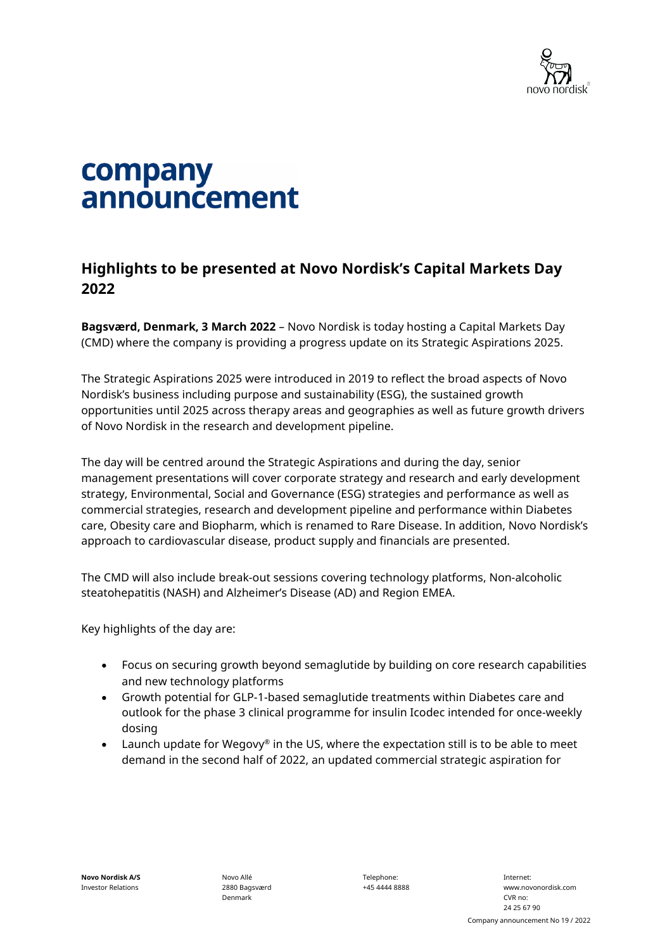

## company announcement

## **Highlights to be presented at Novo Nordisk's Capital Markets Day 2022**

**Bagsværd, Denmark, 3 March 2022** – Novo Nordisk is today hosting a Capital Markets Day (CMD) where the company is providing a progress update on its Strategic Aspirations 2025.

The Strategic Aspirations 2025 were introduced in 2019 to reflect the broad aspects of Novo Nordisk's business including purpose and sustainability (ESG), the sustained growth opportunities until 2025 across therapy areas and geographies as well as future growth drivers of Novo Nordisk in the research and development pipeline.

The day will be centred around the Strategic Aspirations and during the day, senior management presentations will cover corporate strategy and research and early development strategy, Environmental, Social and Governance (ESG) strategies and performance as well as commercial strategies, research and development pipeline and performance within Diabetes care, Obesity care and Biopharm, which is renamed to Rare Disease. In addition, Novo Nordisk's approach to cardiovascular disease, product supply and financials are presented.

The CMD will also include break-out sessions covering technology platforms, Non-alcoholic steatohepatitis (NASH) and Alzheimer's Disease (AD) and Region EMEA.

Key highlights of the day are:

- Focus on securing growth beyond semaglutide by building on core research capabilities and new technology platforms
- Growth potential for GLP-1-based semaglutide treatments within Diabetes care and outlook for the phase 3 clinical programme for insulin Icodec intended for once-weekly dosing
- Launch update for Wegovy® in the US, where the expectation still is to be able to meet demand in the second half of 2022, an updated commercial strategic aspiration for

Novo Allé 2880 Bagsværd Denmark

Telephone: +45 4444 8888